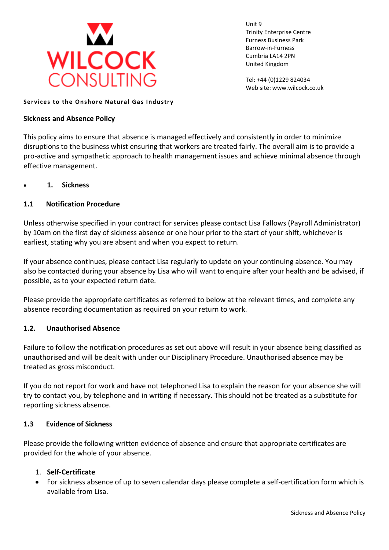

Unit 9 Trinity Enterprise Centre Furness Business Park Barrow-in-Furness Cumbria LA14 2PN United Kingdom

Tel: +44 (0)1229 824034 Web site: www.wilcock.co.uk

#### **Services to the Onshore Natural Gas Industry**

### **Sickness and Absence Policy**

This policy aims to ensure that absence is managed effectively and consistently in order to minimize disruptions to the business whist ensuring that workers are treated fairly. The overall aim is to provide a pro-active and sympathetic approach to health management issues and achieve minimal absence through effective management.

• **1. Sickness** 

## **1.1 Notification Procedure**

Unless otherwise specified in your contract for services please contact Lisa Fallows (Payroll Administrator) by 10am on the first day of sickness absence or one hour prior to the start of your shift, whichever is earliest, stating why you are absent and when you expect to return.

If your absence continues, please contact Lisa regularly to update on your continuing absence. You may also be contacted during your absence by Lisa who will want to enquire after your health and be advised, if possible, as to your expected return date.

Please provide the appropriate certificates as referred to below at the relevant times, and complete any absence recording documentation as required on your return to work.

#### **1.2. Unauthorised Absence**

Failure to follow the notification procedures as set out above will result in your absence being classified as unauthorised and will be dealt with under our Disciplinary Procedure. Unauthorised absence may be treated as gross misconduct.

If you do not report for work and have not telephoned Lisa to explain the reason for your absence she will try to contact you, by telephone and in writing if necessary. This should not be treated as a substitute for reporting sickness absence.

## **1.3 Evidence of Sickness**

Please provide the following written evidence of absence and ensure that appropriate certificates are provided for the whole of your absence.

## 1. **Self-Certificate**

• For sickness absence of up to seven calendar days please complete a self-certification form which is available from Lisa.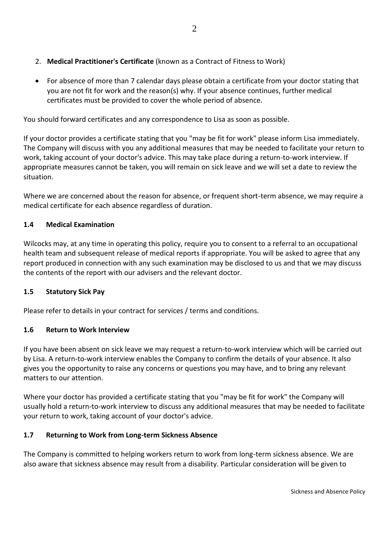- 2. **Medical Practitioner's Certificate** (known as a Contract of Fitness to Work)
- For absence of more than 7 calendar days please obtain a certificate from your doctor stating that you are not fit for work and the reason(s) why. If your absence continues, further medical certificates must be provided to cover the whole period of absence.

You should forward certificates and any correspondence to Lisa as soon as possible.

If your doctor provides a certificate stating that you "may be fit for work" please inform Lisa immediately. The Company will discuss with you any additional measures that may be needed to facilitate your return to work, taking account of your doctor's advice. This may take place during a return-to-work interview. If appropriate measures cannot be taken, you will remain on sick leave and we will set a date to review the situation.

Where we are concerned about the reason for absence, or frequent short-term absence, we may require a medical certificate for each absence regardless of duration.

# **1.4 Medical Examination**

Wilcocks may, at any time in operating this policy, require you to consent to a referral to an occupational health team and subsequent release of medical reports if appropriate. You will be asked to agree that any report produced in connection with any such examination may be disclosed to us and that we may discuss the contents of the report with our advisers and the relevant doctor.

# **1.5 Statutory Sick Pay**

Please refer to details in your contract for services / terms and conditions.

# **1.6 Return to Work Interview**

If you have been absent on sick leave we may request a return-to-work interview which will be carried out by Lisa. A return-to-work interview enables the Company to confirm the details of your absence. It also gives you the opportunity to raise any concerns or questions you may have, and to bring any relevant matters to our attention.

Where your doctor has provided a certificate stating that you "may be fit for work" the Company will usually hold a return-to-work interview to discuss any additional measures that may be needed to facilitate your return to work, taking account of your doctor's advice.

# **1.7 Returning to Work from Long-term Sickness Absence**

The Company is committed to helping workers return to work from long-term sickness absence. We are also aware that sickness absence may result from a disability. Particular consideration will be given to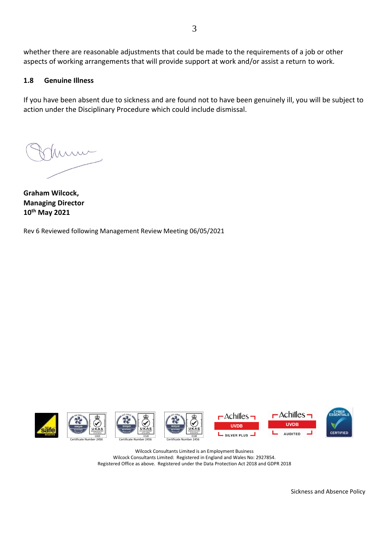whether there are reasonable adjustments that could be made to the requirements of a job or other aspects of working arrangements that will provide support at work and/or assist a return to work.

# **1.8 Genuine Illness**

If you have been absent due to sickness and are found not to have been genuinely ill, you will be subject to action under the Disciplinary Procedure which could include dismissal.

**Graham Wilcock, Managing Director 10th May 2021**

Rev 6 Reviewed following Management Review Meeting 06/05/2021













Wilcock Consultants Limited is an Employment Business Wilcock Consultants Limited: Registered in England and Wales No: 2927854. Registered Office as above. Registered under the Data Protection Act 2018 and GDPR 2018

Sickness and Absence Policy